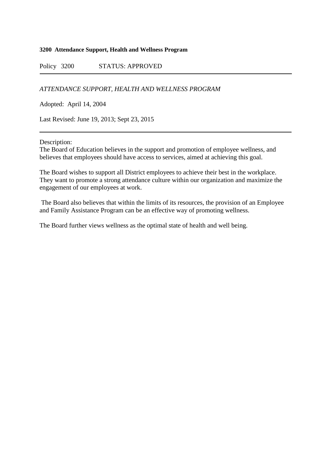#### **3200 Attendance Support, Health and Wellness Program**

Policy 3200 STATUS: APPROVED

*ATTENDANCE SUPPORT, HEALTH AND WELLNESS PROGRAM*

Adopted: April 14, 2004

Last Revised: June 19, 2013; Sept 23, 2015

Description:

The Board of Education believes in the support and promotion of employee wellness, and believes that employees should have access to services, aimed at achieving this goal.

The Board wishes to support all District employees to achieve their best in the workplace. They want to promote a strong attendance culture within our organization and maximize the engagement of our employees at work.

The Board also believes that within the limits of its resources, the provision of an Employee and Family Assistance Program can be an effective way of promoting wellness.

The Board further views wellness as the optimal state of health and well being.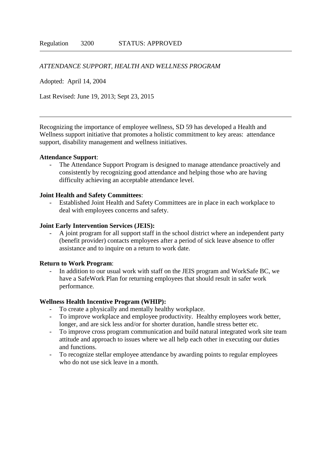# *ATTENDANCE SUPPORT, HEALTH AND WELLNESS PROGRAM*

Adopted: April 14, 2004

Last Revised: June 19, 2013; Sept 23, 2015

Recognizing the importance of employee wellness, SD 59 has developed a Health and Wellness support initiative that promotes a holistic commitment to key areas: attendance support, disability management and wellness initiatives.

## **Attendance Support**:

The Attendance Support Program is designed to manage attendance proactively and consistently by recognizing good attendance and helping those who are having difficulty achieving an acceptable attendance level.

## **Joint Health and Safety Committees**:

Established Joint Health and Safety Committees are in place in each workplace to deal with employees concerns and safety.

# **Joint Early Intervention Services (JEIS):**

- A joint program for all support staff in the school district where an independent party (benefit provider) contacts employees after a period of sick leave absence to offer assistance and to inquire on a return to work date.

#### **Return to Work Program**:

In addition to our usual work with staff on the JEIS program and WorkSafe BC, we have a SafeWork Plan for returning employees that should result in safer work performance.

#### **Wellness Health Incentive Program (WHIP):**

- To create a physically and mentally healthy workplace.
- To improve workplace and employee productivity. Healthy employees work better, longer, and are sick less and/or for shorter duration, handle stress better etc.
- To improve cross program communication and build natural integrated work site team attitude and approach to issues where we all help each other in executing our duties and functions.
- To recognize stellar employee attendance by awarding points to regular employees who do not use sick leave in a month.